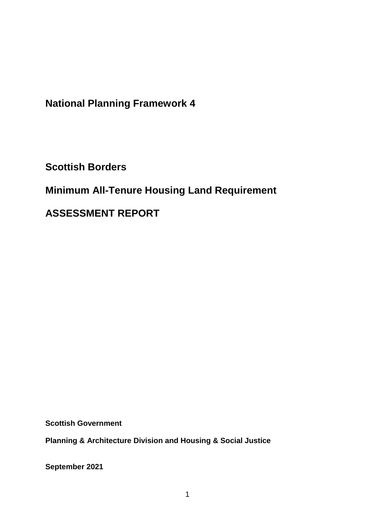**National Planning Framework 4**

**Scottish Borders**

# **Minimum All-Tenure Housing Land Requirement**

**ASSESSMENT REPORT**

**Scottish Government**

**Planning & Architecture Division and Housing & Social Justice** 

**September 2021**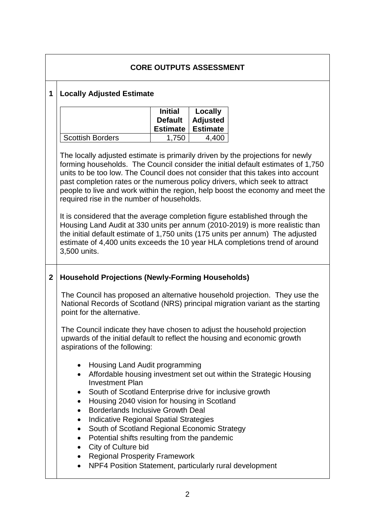|                                                                                                              | <b>CORE OUTPUTS ASSESSMENT</b>                                                                                                                                                                                                                                                                                                                                                                                                                                                   |                                                                                                                                                                                                                                                                                                                                                                                                                                                                     |                                               |                                                                    |  |  |
|--------------------------------------------------------------------------------------------------------------|----------------------------------------------------------------------------------------------------------------------------------------------------------------------------------------------------------------------------------------------------------------------------------------------------------------------------------------------------------------------------------------------------------------------------------------------------------------------------------|---------------------------------------------------------------------------------------------------------------------------------------------------------------------------------------------------------------------------------------------------------------------------------------------------------------------------------------------------------------------------------------------------------------------------------------------------------------------|-----------------------------------------------|--------------------------------------------------------------------|--|--|
| <b>Locally Adjusted Estimate</b><br>1                                                                        |                                                                                                                                                                                                                                                                                                                                                                                                                                                                                  |                                                                                                                                                                                                                                                                                                                                                                                                                                                                     |                                               |                                                                    |  |  |
|                                                                                                              |                                                                                                                                                                                                                                                                                                                                                                                                                                                                                  | <b>Initial</b><br><b>Default</b><br><b>Estimate</b>                                                                                                                                                                                                                                                                                                                                                                                                                 | Locally<br><b>Adjusted</b><br><b>Estimate</b> |                                                                    |  |  |
|                                                                                                              | <b>Scottish Borders</b>                                                                                                                                                                                                                                                                                                                                                                                                                                                          | 1,750                                                                                                                                                                                                                                                                                                                                                                                                                                                               | 4,400                                         |                                                                    |  |  |
|                                                                                                              |                                                                                                                                                                                                                                                                                                                                                                                                                                                                                  | The locally adjusted estimate is primarily driven by the projections for newly<br>forming households. The Council consider the initial default estimates of 1,750<br>units to be too low. The Council does not consider that this takes into account<br>past completion rates or the numerous policy drivers, which seek to attract<br>people to live and work within the region, help boost the economy and meet the<br>required rise in the number of households. |                                               |                                                                    |  |  |
|                                                                                                              | It is considered that the average completion figure established through the<br>Housing Land Audit at 330 units per annum (2010-2019) is more realistic than<br>the initial default estimate of 1,750 units (175 units per annum) The adjusted<br>estimate of 4,400 units exceeds the 10 year HLA completions trend of around<br>3,500 units.                                                                                                                                     |                                                                                                                                                                                                                                                                                                                                                                                                                                                                     |                                               |                                                                    |  |  |
| $\overline{2}$                                                                                               | <b>Household Projections (Newly-Forming Households)</b><br>The Council has proposed an alternative household projection. They use the                                                                                                                                                                                                                                                                                                                                            |                                                                                                                                                                                                                                                                                                                                                                                                                                                                     |                                               |                                                                    |  |  |
| National Records of Scotland (NRS) principal migration variant as the starting<br>point for the alternative. |                                                                                                                                                                                                                                                                                                                                                                                                                                                                                  |                                                                                                                                                                                                                                                                                                                                                                                                                                                                     |                                               |                                                                    |  |  |
|                                                                                                              | aspirations of the following:                                                                                                                                                                                                                                                                                                                                                                                                                                                    | The Council indicate they have chosen to adjust the household projection<br>upwards of the initial default to reflect the housing and economic growth                                                                                                                                                                                                                                                                                                               |                                               |                                                                    |  |  |
|                                                                                                              | Housing Land Audit programming<br>$\bullet$<br>$\bullet$<br><b>Investment Plan</b><br>South of Scotland Enterprise drive for inclusive growth<br>Housing 2040 vision for housing in Scotland<br><b>Borderlands Inclusive Growth Deal</b><br>$\bullet$<br>Indicative Regional Spatial Strategies<br>٠<br>South of Scotland Regional Economic Strategy<br>Potential shifts resulting from the pandemic<br>$\bullet$<br>City of Culture bid<br><b>Regional Prosperity Framework</b> |                                                                                                                                                                                                                                                                                                                                                                                                                                                                     |                                               | Affordable housing investment set out within the Strategic Housing |  |  |
|                                                                                                              | NPF4 Position Statement, particularly rural development                                                                                                                                                                                                                                                                                                                                                                                                                          |                                                                                                                                                                                                                                                                                                                                                                                                                                                                     |                                               |                                                                    |  |  |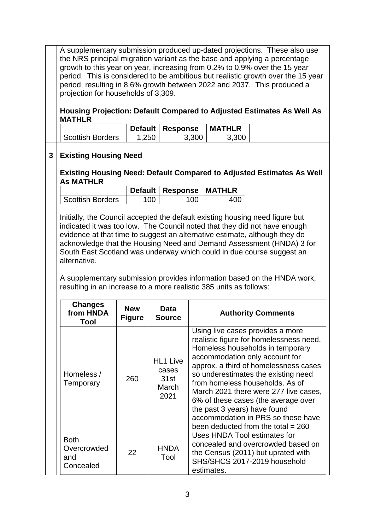A supplementary submission produced up-dated projections. These also use the NRS principal migration variant as the base and applying a percentage growth to this year on year, increasing from 0.2% to 0.9% over the 15 year period. This is considered to be ambitious but realistic growth over the 15 year period, resulting in 8.6% growth between 2022 and 2037. This produced a projection for households of 3,309.

**Housing Projection: Default Compared to Adjusted Estimates As Well As MATHLR**

|                  |       | Default   Response | <b>MATHLR</b> |
|------------------|-------|--------------------|---------------|
| Scottish Borders | 1.250 | 3.300              | 3.300         |

#### **3 Existing Housing Need**

**Existing Housing Need: Default Compared to Adjusted Estimates As Well As MATHLR**

|                  |     | Default   Response   MATHLR |  |
|------------------|-----|-----------------------------|--|
| Scottish Borders | 100 | 100                         |  |

Initially, the Council accepted the default existing housing need figure but indicated it was too low. The Council noted that they did not have enough evidence at that time to suggest an alternative estimate, although they do acknowledge that the Housing Need and Demand Assessment (HNDA) 3 for South East Scotland was underway which could in due course suggest an alternative.

A supplementary submission provides information based on the HNDA work, resulting in an increase to a more realistic 385 units as follows:

| <b>Changes</b><br>from HNDA<br>Tool            | <b>New</b><br><b>Figure</b> | Data<br><b>Source</b>                             | <b>Authority Comments</b>                                                                                                                                                                                                                                                                                                                                                                                                                                          |
|------------------------------------------------|-----------------------------|---------------------------------------------------|--------------------------------------------------------------------------------------------------------------------------------------------------------------------------------------------------------------------------------------------------------------------------------------------------------------------------------------------------------------------------------------------------------------------------------------------------------------------|
| Homeless /<br>Temporary                        | 260                         | <b>HL1 Live</b><br>cases<br>31st<br>March<br>2021 | Using live cases provides a more<br>realistic figure for homelessness need.<br>Homeless households in temporary<br>accommodation only account for<br>approx. a third of homelessness cases<br>so underestimates the existing need<br>from homeless households. As of<br>March 2021 there were 277 live cases,<br>6% of these cases (the average over<br>the past 3 years) have found<br>accommodation in PRS so these have<br>been deducted from the total $= 260$ |
| <b>Both</b><br>Overcrowded<br>and<br>Concealed | 22                          | <b>HNDA</b><br>Tool                               | Uses HNDA Tool estimates for<br>concealed and overcrowded based on<br>the Census (2011) but uprated with<br>SHS/SHCS 2017-2019 household<br>estimates.                                                                                                                                                                                                                                                                                                             |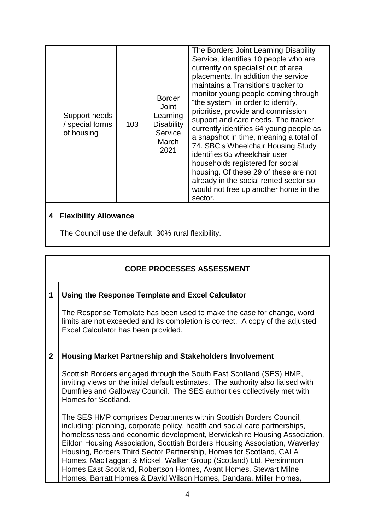|   | Support needs<br>/ special forms<br>of housing | 103 | <b>Border</b><br>Joint<br>Learning<br><b>Disability</b><br>Service<br>March<br>2021 | The Borders Joint Learning Disability<br>Service, identifies 10 people who are<br>currently on specialist out of area<br>placements. In addition the service<br>maintains a Transitions tracker to<br>monitor young people coming through<br>"the system" in order to identify,<br>prioritise, provide and commission<br>support and care needs. The tracker<br>currently identifies 64 young people as<br>a snapshot in time, meaning a total of<br>74. SBC's Wheelchair Housing Study<br>identifies 65 wheelchair user<br>households registered for social<br>housing. Of these 29 of these are not<br>already in the social rented sector so<br>would not free up another home in the<br>sector. |  |
|---|------------------------------------------------|-----|-------------------------------------------------------------------------------------|-----------------------------------------------------------------------------------------------------------------------------------------------------------------------------------------------------------------------------------------------------------------------------------------------------------------------------------------------------------------------------------------------------------------------------------------------------------------------------------------------------------------------------------------------------------------------------------------------------------------------------------------------------------------------------------------------------|--|
| 4 | <b>Flexibility Allowance</b>                   |     |                                                                                     |                                                                                                                                                                                                                                                                                                                                                                                                                                                                                                                                                                                                                                                                                                     |  |

The Council use the default 30% rural flexibility.

## **CORE PROCESSES ASSESSMENT**

### **1 Using the Response Template and Excel Calculator**

The Response Template has been used to make the case for change, word limits are not exceeded and its completion is correct. A copy of the adjusted Excel Calculator has been provided.

#### **2 Housing Market Partnership and Stakeholders Involvement**

Scottish Borders engaged through the South East Scotland (SES) HMP, inviting views on the initial default estimates. The authority also liaised with Dumfries and Galloway Council. The SES authorities collectively met with Homes for Scotland.

The SES HMP comprises Departments within Scottish Borders Council, including; planning, corporate policy, health and social care partnerships, homelessness and economic development, Berwickshire Housing Association, Eildon Housing Association, Scottish Borders Housing Association, Waverley Housing, Borders Third Sector Partnership, Homes for Scotland, CALA Homes, MacTaggart & Mickel, Walker Group (Scotland) Ltd, Persimmon Homes East Scotland, Robertson Homes, Avant Homes, Stewart Milne Homes, Barratt Homes & David Wilson Homes, Dandara, Miller Homes,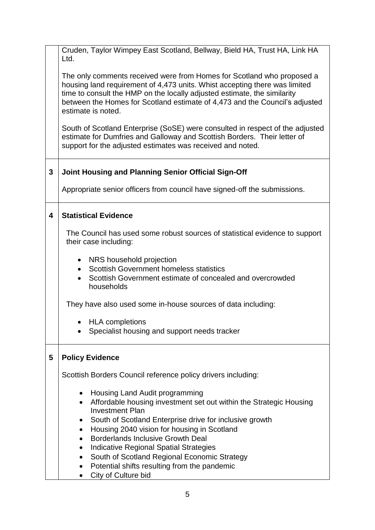|   | Cruden, Taylor Wimpey East Scotland, Bellway, Bield HA, Trust HA, Link HA<br>Ltd.                                                                                                                                                                                                                                                     |
|---|---------------------------------------------------------------------------------------------------------------------------------------------------------------------------------------------------------------------------------------------------------------------------------------------------------------------------------------|
|   | The only comments received were from Homes for Scotland who proposed a<br>housing land requirement of 4,473 units. Whist accepting there was limited<br>time to consult the HMP on the locally adjusted estimate, the similarity<br>between the Homes for Scotland estimate of 4,473 and the Council's adjusted<br>estimate is noted. |
|   | South of Scotland Enterprise (SoSE) were consulted in respect of the adjusted<br>estimate for Dumfries and Galloway and Scottish Borders. Their letter of<br>support for the adjusted estimates was received and noted.                                                                                                               |
| 3 | Joint Housing and Planning Senior Official Sign-Off                                                                                                                                                                                                                                                                                   |
|   | Appropriate senior officers from council have signed-off the submissions.                                                                                                                                                                                                                                                             |
| 4 | <b>Statistical Evidence</b>                                                                                                                                                                                                                                                                                                           |
|   | The Council has used some robust sources of statistical evidence to support<br>their case including:                                                                                                                                                                                                                                  |
|   | NRS household projection<br><b>Scottish Government homeless statistics</b><br>$\bullet$<br>Scottish Government estimate of concealed and overcrowded<br>households                                                                                                                                                                    |
|   | They have also used some in-house sources of data including:                                                                                                                                                                                                                                                                          |
|   | <b>HLA</b> completions<br>Specialist housing and support needs tracker                                                                                                                                                                                                                                                                |
| 5 | <b>Policy Evidence</b>                                                                                                                                                                                                                                                                                                                |
|   | Scottish Borders Council reference policy drivers including:                                                                                                                                                                                                                                                                          |
|   | Housing Land Audit programming<br>$\bullet$<br>Affordable housing investment set out within the Strategic Housing<br>$\bullet$<br><b>Investment Plan</b>                                                                                                                                                                              |
|   | South of Scotland Enterprise drive for inclusive growth<br>Housing 2040 vision for housing in Scotland<br>$\bullet$                                                                                                                                                                                                                   |
|   | <b>Borderlands Inclusive Growth Deal</b><br>$\bullet$                                                                                                                                                                                                                                                                                 |
|   | <b>Indicative Regional Spatial Strategies</b><br>$\bullet$<br>South of Scotland Regional Economic Strategy<br>$\bullet$                                                                                                                                                                                                               |
|   | Potential shifts resulting from the pandemic                                                                                                                                                                                                                                                                                          |
|   | City of Culture bid                                                                                                                                                                                                                                                                                                                   |